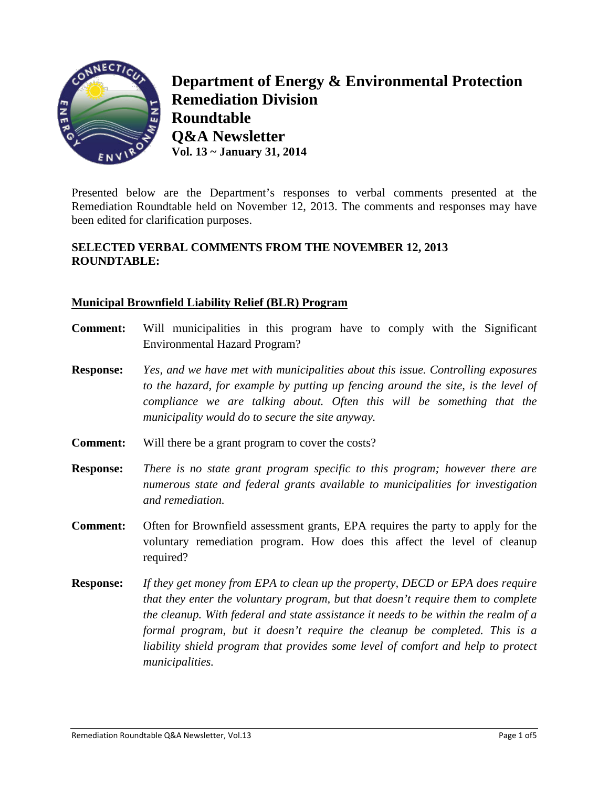

**Department of Energy & Environmental Protection Remediation Division Roundtable Q&A Newsletter Vol. 13 ~ January 31, 2014**

Presented below are the Department's responses to verbal comments presented at the Remediation Roundtable held on November 12, 2013. The comments and responses may have been edited for clarification purposes.

# **SELECTED VERBAL COMMENTS FROM THE NOVEMBER 12, 2013 ROUNDTABLE:**

# **Municipal Brownfield Liability Relief (BLR) Program**

- **Comment:** Will municipalities in this program have to comply with the Significant Environmental Hazard Program?
- **Response:** *Yes, and we have met with municipalities about this issue. Controlling exposures to the hazard, for example by putting up fencing around the site, is the level of compliance we are talking about. Often this will be something that the municipality would do to secure the site anyway.*
- **Comment:** Will there be a grant program to cover the costs?
- **Response:** *There is no state grant program specific to this program; however there are numerous state and federal grants available to municipalities for investigation and remediation.*
- **Comment:** Often for Brownfield assessment grants, EPA requires the party to apply for the voluntary remediation program. How does this affect the level of cleanup required?
- **Response:** *If they get money from EPA to clean up the property, DECD or EPA does require that they enter the voluntary program, but that doesn't require them to complete the cleanup. With federal and state assistance it needs to be within the realm of a formal program, but it doesn't require the cleanup be completed. This is a liability shield program that provides some level of comfort and help to protect municipalities.*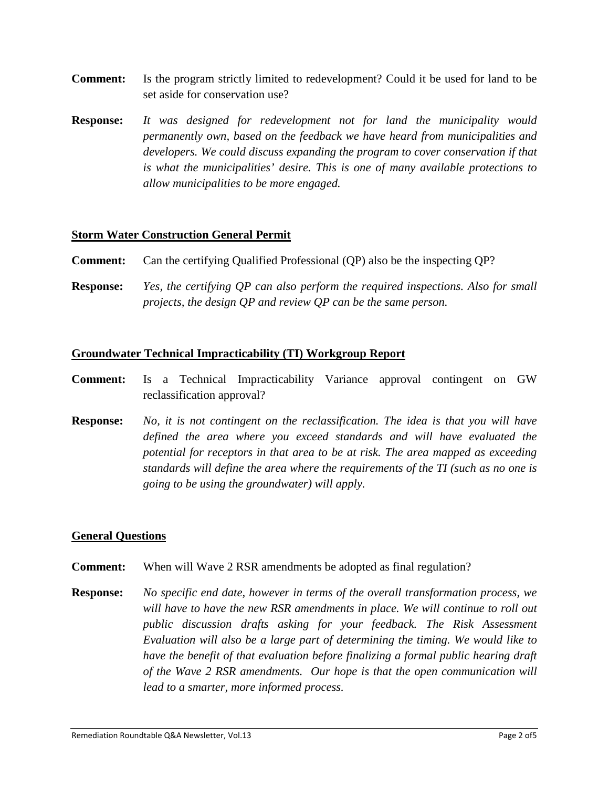- **Comment:** Is the program strictly limited to redevelopment? Could it be used for land to be set aside for conservation use?
- **Response:** *It was designed for redevelopment not for land the municipality would permanently own, based on the feedback we have heard from municipalities and developers. We could discuss expanding the program to cover conservation if that is what the municipalities' desire. This is one of many available protections to allow municipalities to be more engaged.*

## **Storm Water Construction General Permit**

- **Comment:** Can the certifying Qualified Professional (QP) also be the inspecting QP?
- **Response:** *Yes, the certifying QP can also perform the required inspections. Also for small projects, the design QP and review QP can be the same person.*

#### **Groundwater Technical Impracticability (TI) Workgroup Report**

- **Comment:** Is a Technical Impracticability Variance approval contingent on GW reclassification approval?
- **Response:** *No, it is not contingent on the reclassification. The idea is that you will have defined the area where you exceed standards and will have evaluated the potential for receptors in that area to be at risk. The area mapped as exceeding standards will define the area where the requirements of the TI (such as no one is going to be using the groundwater) will apply.*

#### **General Questions**

- **Comment:** When will Wave 2 RSR amendments be adopted as final regulation?
- **Response:** *No specific end date, however in terms of the overall transformation process, we will have to have the new RSR amendments in place. We will continue to roll out public discussion drafts asking for your feedback. The Risk Assessment Evaluation will also be a large part of determining the timing. We would like to have the benefit of that evaluation before finalizing a formal public hearing draft of the Wave 2 RSR amendments. Our hope is that the open communication will lead to a smarter, more informed process.*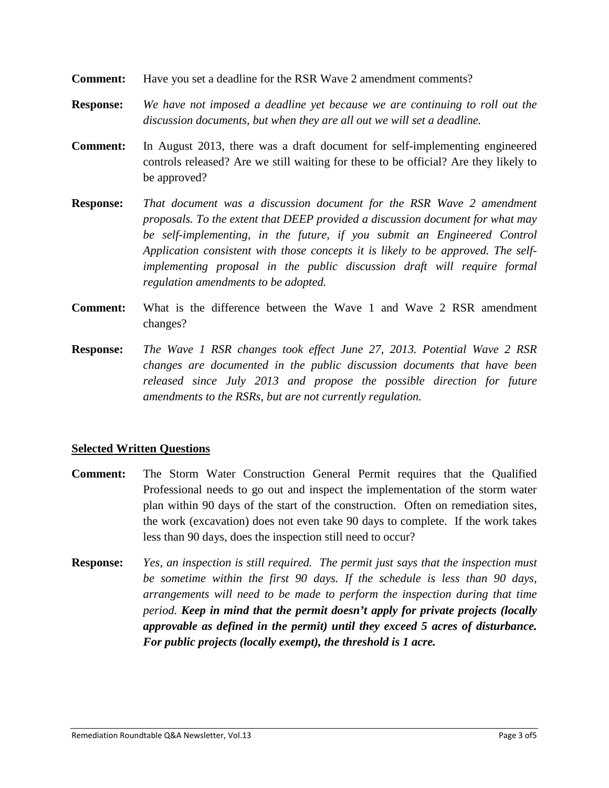- **Comment:** Have you set a deadline for the RSR Wave 2 amendment comments?
- **Response:** *We have not imposed a deadline yet because we are continuing to roll out the discussion documents, but when they are all out we will set a deadline.*
- **Comment:** In August 2013, there was a draft document for self-implementing engineered controls released? Are we still waiting for these to be official? Are they likely to be approved?
- **Response:** *That document was a discussion document for the RSR Wave 2 amendment proposals. To the extent that DEEP provided a discussion document for what may be self-implementing, in the future, if you submit an Engineered Control Application consistent with those concepts it is likely to be approved. The selfimplementing proposal in the public discussion draft will require formal regulation amendments to be adopted.*
- **Comment:** What is the difference between the Wave 1 and Wave 2 RSR amendment changes?
- **Response:** *The Wave 1 RSR changes took effect June 27, 2013. Potential Wave 2 RSR changes are documented in the public discussion documents that have been released since July 2013 and propose the possible direction for future amendments to the RSRs, but are not currently regulation.*

## **Selected Written Questions**

- **Comment:** The Storm Water Construction General Permit requires that the Qualified Professional needs to go out and inspect the implementation of the storm water plan within 90 days of the start of the construction. Often on remediation sites, the work (excavation) does not even take 90 days to complete. If the work takes less than 90 days, does the inspection still need to occur?
- **Response:** *Yes, an inspection is still required. The permit just says that the inspection must be sometime within the first 90 days. If the schedule is less than 90 days, arrangements will need to be made to perform the inspection during that time period. Keep in mind that the permit doesn't apply for private projects (locally approvable as defined in the permit) until they exceed 5 acres of disturbance. For public projects (locally exempt), the threshold is 1 acre.*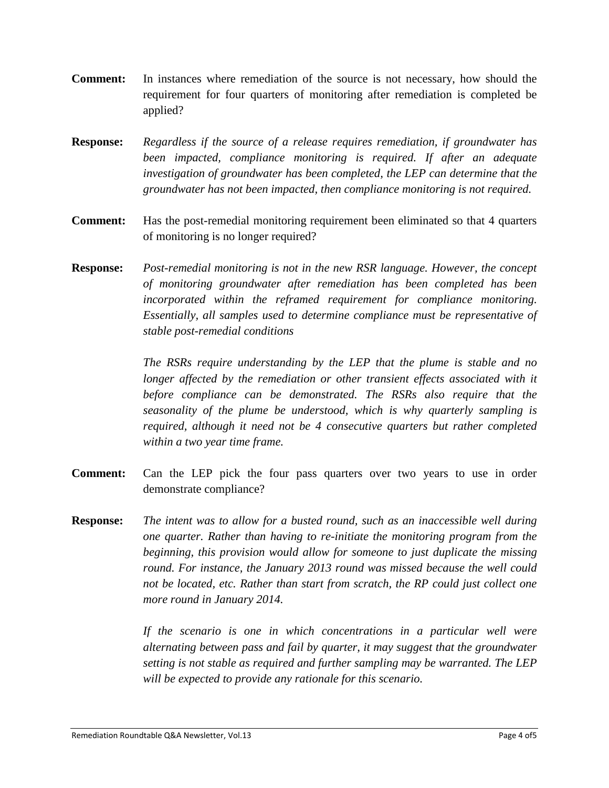- **Comment:** In instances where remediation of the source is not necessary, how should the requirement for four quarters of monitoring after remediation is completed be applied?
- **Response:** *Regardless if the source of a release requires remediation, if groundwater has been impacted, compliance monitoring is required. If after an adequate investigation of groundwater has been completed, the LEP can determine that the groundwater has not been impacted, then compliance monitoring is not required.*
- **Comment:** Has the post-remedial monitoring requirement been eliminated so that 4 quarters of monitoring is no longer required?
- **Response:** *Post-remedial monitoring is not in the new RSR language. However, the concept of monitoring groundwater after remediation has been completed has been incorporated within the reframed requirement for compliance monitoring. Essentially, all samples used to determine compliance must be representative of stable post-remedial conditions*

*The RSRs require understanding by the LEP that the plume is stable and no longer affected by the remediation or other transient effects associated with it before compliance can be demonstrated. The RSRs also require that the seasonality of the plume be understood, which is why quarterly sampling is required, although it need not be 4 consecutive quarters but rather completed within a two year time frame.*

- **Comment:** Can the LEP pick the four pass quarters over two years to use in order demonstrate compliance?
- **Response:** *The intent was to allow for a busted round, such as an inaccessible well during one quarter. Rather than having to re-initiate the monitoring program from the beginning, this provision would allow for someone to just duplicate the missing round. For instance, the January 2013 round was missed because the well could not be located, etc. Rather than start from scratch, the RP could just collect one more round in January 2014.*

*If the scenario is one in which concentrations in a particular well were alternating between pass and fail by quarter, it may suggest that the groundwater setting is not stable as required and further sampling may be warranted. The LEP will be expected to provide any rationale for this scenario.*